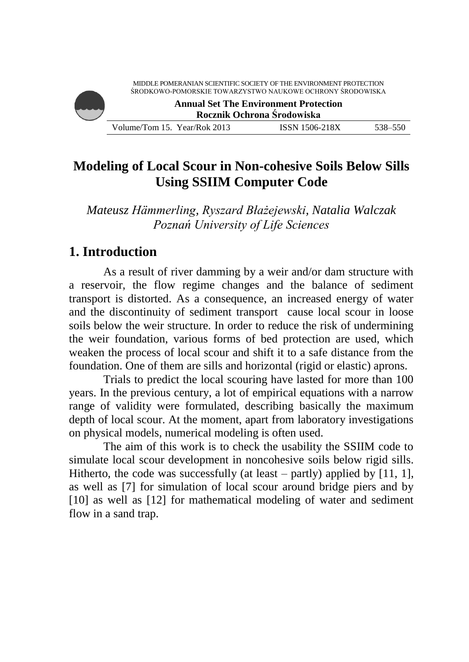# **Modeling of Local Scour in Non-cohesive Soils Below Sills Using SSIIM Computer Code**

*Mateusz Hämmerling, Ryszard Błażejewski, Natalia Walczak Poznań University of Life Sciences*

# **1. Introduction**

As a result of river damming by a weir and/or dam structure with a reservoir, the flow regime changes and the balance of sediment transport is distorted. As a consequence, an increased energy of water and the discontinuity of sediment transport cause local scour in loose soils below the weir structure. In order to reduce the risk of undermining the weir foundation, various forms of bed protection are used, which weaken the process of local scour and shift it to a safe distance from the foundation. One of them are sills and horizontal (rigid or elastic) aprons.

Trials to predict the local scouring have lasted for more than 100 years. In the previous century, a lot of empirical equations with a narrow range of validity were formulated, describing basically the maximum depth of local scour. At the moment, apart from laboratory investigations on physical models, numerical modeling is often used.

The aim of this work is to check the usability the SSIIM code to simulate local scour development in noncohesive soils below rigid sills. Hitherto, the code was successfully (at least – partly) applied by  $[11, 1]$ , as well as [7] for simulation of local scour around bridge piers and by [10] as well as [12] for mathematical modeling of water and sediment flow in a sand trap.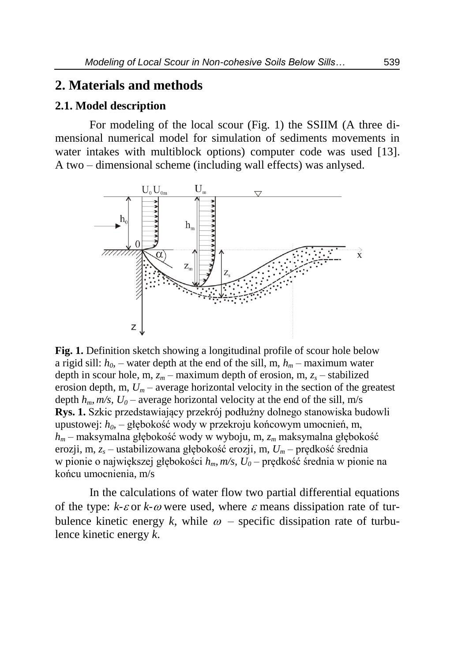## **2. Materials and methods**

## **2.1. Model description**

For modeling of the local scour (Fig. 1) the SSIIM (A three dimensional numerical model for simulation of sediments movements in water intakes with multiblock options) computer code was used [13]. A two – dimensional scheme (including wall effects) was anlysed.



**Fig. 1.** Definition sketch showing a longitudinal profile of scour hole below a rigid sill:  $h_0$  – water depth at the end of the sill, m,  $h_m$  – maximum water depth in scour hole, m,  $z_m$  – maximum depth of erosion, m,  $z_s$  – stabilized erosion depth, m,  $U_m$  – average horizontal velocity in the section of the greatest depth  $h_m$ ,  $m/s$ ,  $U_0$  – average horizontal velocity at the end of the sill, m/s **Rys. 1.** Szkic przedstawiający przekrój podłużny dolnego stanowiska budowli upustowej: *h0,* – głębokość wody w przekroju końcowym umocnień, m, *h<sup>m</sup>* – maksymalna głębokość wody w wyboju, m, *z<sup>m</sup>* maksymalna głębokość erozji, m, *z<sup>s</sup>* – ustabilizowana głębokość erozji, m, *U<sup>m</sup> –* prędkość średnia w pionie o największej głębokości *hm, m/s, U<sup>0</sup> –* prędkość średnia w pionie na końcu umocnienia, m/s

In the calculations of water flow two partial differential equations of the type:  $k \text{-} \varepsilon$  or  $k \text{-} \omega$  were used, where  $\varepsilon$  means dissipation rate of turbulence kinetic energy k, while  $\omega$  – specific dissipation rate of turbulence kinetic energy *k*.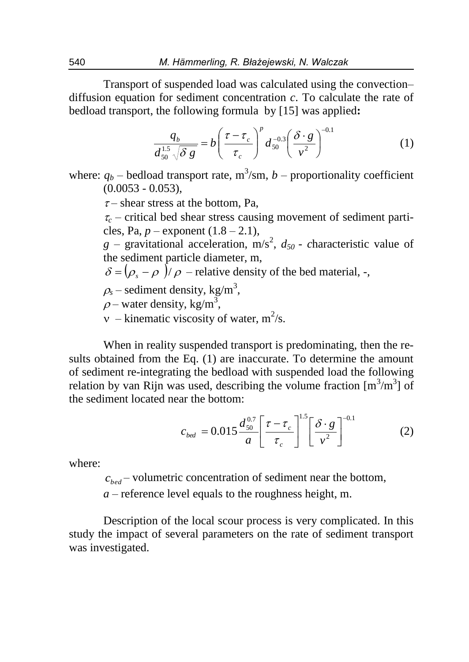Transport of suspended load was calculated using the convection– diffusion equation for sediment concentration *c*. To calculate the rate of bedload transport, the following formula by [15] was applied**:** 

$$
\frac{q_b}{d_{50}^{1.5}\sqrt{\delta g}} = b \left(\frac{\tau - \tau_c}{\tau_c}\right)^p d_{50}^{-0.3} \left(\frac{\delta \cdot g}{v^2}\right)^{-0.1} \tag{1}
$$

where:  $q_b$  – bedload transport rate,  $m^3$ /sm,  $b$  – proportionality coefficient  $(0.0053 - 0.053)$ ,

 $\tau$ – shear stress at the bottom, Pa,

 $\tau_c$  – critical bed shear stress causing movement of sediment particles, Pa,  $p -$  exponent  $(1.8 - 2.1)$ ,

 $g$  – gravitational acceleration, m/s<sup>2</sup>,  $d_{50}$  - *characteristic value of* the sediment particle diameter, m,

 $\delta = (\rho_{\rm s} - \rho)/\rho$  – relative density of the bed material, -,

 $\rho_s$  – sediment density, kg/m<sup>3</sup>,

 $\rho$  – water density, kg/m<sup>3</sup>,

 $v$  – kinematic viscosity of water,  $m^2/s$ .

When in reality suspended transport is predominating, then the results obtained from the Eq. (1) are inaccurate. To determine the amount of sediment re-integrating the bedload with suspended load the following relation by van Rijn was used, describing the volume fraction  $[m^3/m^3]$  of the sediment located near the bottom:

$$
c_{\text{bed}} = 0.015 \frac{d_{50}^{0.7}}{a} \left[ \frac{\tau - \tau_c}{\tau_c} \right]^{1.5} \left[ \frac{\delta \cdot g}{v^2} \right]^{-0.1} \tag{2}
$$

where:

 $c_{bed}$  – volumetric concentration of sediment near the bottom,

*a* – reference level equals to the roughness height, m.

Description of the local scour process is very complicated. In this study the impact of several parameters on the rate of sediment transport was investigated.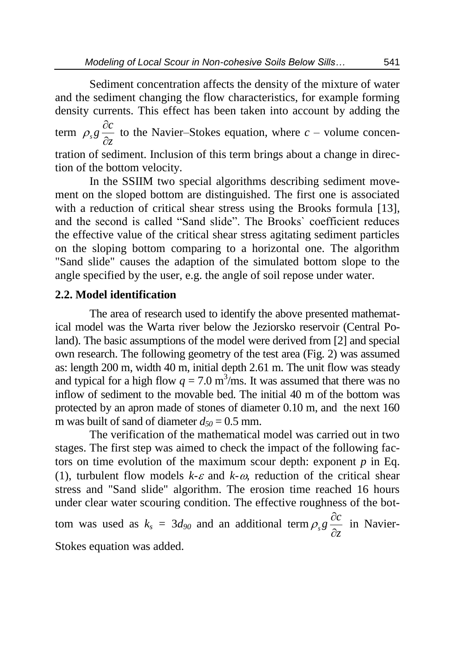Sediment concentration affects the density of the mixture of water and the sediment changing the flow characteristics, for example forming density currents. This effect has been taken into account by adding the term *z*  $s^g \frac{\partial c}{\partial z}$  $\partial$  $\rho_{s}g \frac{\partial c}{\partial r}$  to the Navier–Stokes equation, where *c* – volume concentration of sediment. Inclusion of this term brings about a change in direction of the bottom velocity.

In the SSIIM two special algorithms describing sediment movement on the sloped bottom are distinguished. The first one is associated with a reduction of critical shear stress using the Brooks formula [13], and the second is called "Sand slide". The Brooks` coefficient reduces the effective value of the critical shear stress agitating sediment particles on the sloping bottom comparing to a horizontal one. The algorithm "Sand slide" causes the adaption of the simulated bottom slope to the angle specified by the user, e.g. the angle of soil repose under water.

#### **2.2. Model identification**

The area of research used to identify the above presented mathematical model was the Warta river below the Jeziorsko reservoir (Central Poland). The basic assumptions of the model were derived from [2] and special own research. The following geometry of the test area (Fig. 2) was assumed as: length 200 m, width 40 m, initial depth 2.61 m. The unit flow was steady and typical for a high flow  $q = 7.0 \text{ m}^3/\text{ms}$ . It was assumed that there was no inflow of sediment to the movable bed. The initial 40 m of the bottom was protected by an apron made of stones of diameter 0.10 m, and the next 160 m was built of sand of diameter  $d_{50} = 0.5$  mm.

The verification of the mathematical model was carried out in two stages. The first step was aimed to check the impact of the following factors on time evolution of the maximum scour depth: exponent *p* in Eq. (1), turbulent flow models  $k-\varepsilon$  and  $k-\omega$ , reduction of the critical shear stress and "Sand slide" algorithm. The erosion time reached 16 hours under clear water scouring condition. The effective roughness of the bottom was used as  $k_s = 3d_{90}$  and an additional term *z*  $\frac{\partial c}{\partial z}$  $\partial$  $\rho_s g \frac{\partial c}{\partial r}$  in Navier-Stokes equation was added.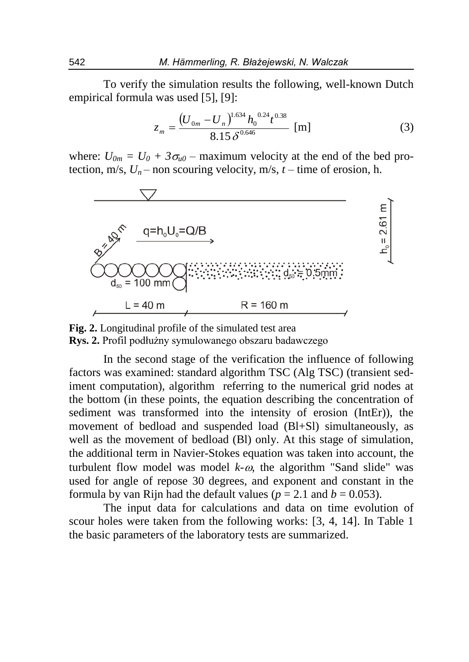To verify the simulation results the following, well-known Dutch empirical formula was used [5], [9]:

$$
z_m = \frac{(U_{0m} - U_n)^{1.634} h_0^{0.24} t^{0.38}}{8.15 \delta^{0.646}} \text{ [m]}
$$
 (3)

where:  $U_{0m} = U_0 + 3\sigma_{u0}$  – maximum velocity at the end of the bed protection, m/s,  $U_n$  – non scouring velocity, m/s,  $t$  – time of erosion, h.



**Fig. 2.** Longitudinal profile of the simulated test area **Rys. 2.** Profil podłużny symulowanego obszaru badawczego

In the second stage of the verification the influence of following factors was examined: standard algorithm TSC (Alg TSC) (transient sediment computation), algorithm referring to the numerical grid nodes at the bottom (in these points, the equation describing the concentration of sediment was transformed into the intensity of erosion (IntEr)), the movement of bedload and suspended load (Bl+Sl) simultaneously, as well as the movement of bedload (Bl) only. At this stage of simulation, the additional term in Navier-Stokes equation was taken into account, the turbulent flow model was model  $k-\omega$ , the algorithm "Sand slide" was used for angle of repose 30 degrees, and exponent and constant in the formula by van Rijn had the default values ( $p = 2.1$  and  $b = 0.053$ ).

The input data for calculations and data on time evolution of scour holes were taken from the following works: [3, 4, 14]. In Table 1 the basic parameters of the laboratory tests are summarized.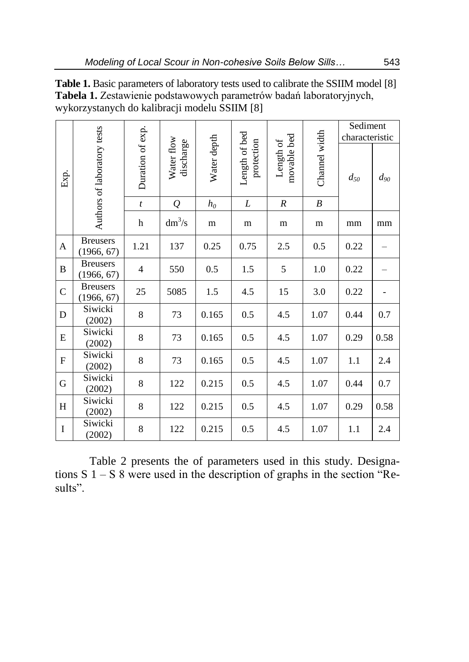|                |                               |                  |                         | Water depth |                             |                          | Channel width    | Sediment<br>characteristic |          |
|----------------|-------------------------------|------------------|-------------------------|-------------|-----------------------------|--------------------------|------------------|----------------------------|----------|
| Exp.           | Authors of laboratory tests   | Duration of exp. | Water flow<br>discharge |             | Length of bed<br>protection | movable bed<br>Length of |                  | $d_{50}$                   | $d_{90}$ |
|                |                               | $\boldsymbol{t}$ | $\varrho$               | $h_0$       | L                           | $\boldsymbol{R}$         | $\boldsymbol{B}$ |                            |          |
|                |                               | h                | $dm^3/s$                | m           | m                           | m                        | m                | mm                         | mm       |
| A              | <b>Breusers</b><br>(1966, 67) | 1.21             | 137                     | 0.25        | 0.75                        | 2.5                      | 0.5              | 0.22                       |          |
| $\overline{B}$ | <b>Breusers</b><br>(1966, 67) | $\overline{4}$   | 550                     | 0.5         | 1.5                         | 5                        | 1.0              | 0.22                       |          |
| $\mathcal{C}$  | <b>Breusers</b><br>(1966, 67) | 25               | 5085                    | 1.5         | 4.5                         | 15                       | 3.0              | 0.22                       |          |
| D              | Siwicki<br>(2002)             | 8                | 73                      | 0.165       | 0.5                         | 4.5                      | 1.07             | 0.44                       | 0.7      |
| E              | Siwicki<br>(2002)             | 8                | 73                      | 0.165       | 0.5                         | 4.5                      | 1.07             | 0.29                       | 0.58     |
| $\mathbf F$    | Siwicki<br>(2002)             | 8                | 73                      | 0.165       | 0.5                         | 4.5                      | 1.07             | 1.1                        | 2.4      |
| G              | Siwicki<br>(2002)             | 8                | 122                     | 0.215       | 0.5                         | 4.5                      | 1.07             | 0.44                       | 0.7      |
| $H_{\rm}$      | Siwicki<br>(2002)             | 8                | 122                     | 0.215       | 0.5                         | 4.5                      | 1.07             | 0.29                       | 0.58     |
| $\bf{I}$       | Siwicki<br>(2002)             | 8                | 122                     | 0.215       | 0.5                         | 4.5                      | 1.07             | 1.1                        | 2.4      |

**Table 1.** Basic parameters of laboratory tests used to calibrate the SSIIM model [8] **Tabela 1.** Zestawienie podstawowych parametrów badań laboratoryjnych, wykorzystanych do kalibracji modelu SSIIM [8]

Table 2 presents the of parameters used in this study. Designations S 1 – S 8 were used in the description of graphs in the section "Results".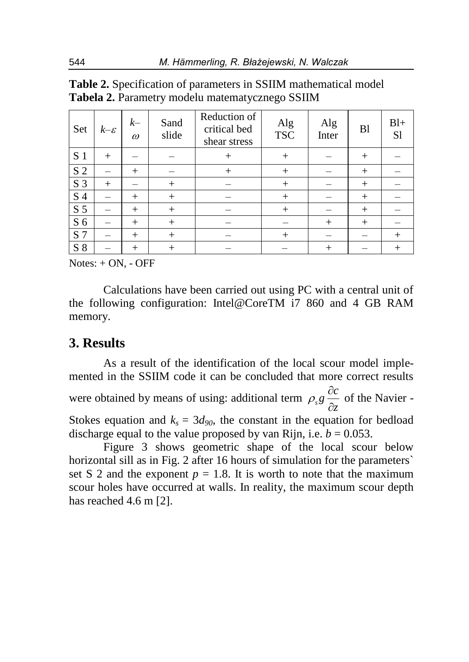| Set            | $k-\varepsilon$ | $k-$<br>$\omega$ | Sand<br>slide | Reduction of<br>critical bed<br>shear stress | Alg<br><b>TSC</b> | Alg<br>Inter | B <sub>1</sub> | $B1+$<br>S1 |
|----------------|-----------------|------------------|---------------|----------------------------------------------|-------------------|--------------|----------------|-------------|
| S <sub>1</sub> | $^{+}$          |                  |               | $+$                                          | $+$               |              | $+$            |             |
| S <sub>2</sub> |                 | $+$              |               | $+$                                          | $+$               |              | $+$            |             |
| S <sub>3</sub> | $^{+}$          |                  | $+$           |                                              | $^{+}$            |              | $^{+}$         |             |
| S 4            |                 | $+$              | $+$           |                                              | $+$               |              | $^{+}$         |             |
| S <sub>5</sub> |                 | $+$              | $+$           |                                              | $+$               |              | $+$            |             |
| S <sub>6</sub> |                 | $+$              | $+$           |                                              |                   | $^{+}$       | $+$            |             |
| S <sub>7</sub> |                 | $+$              | $+$           |                                              | $^{+}$            |              |                | $^{+}$      |
| S <sub>8</sub> |                 | $+$              | $+$           |                                              |                   | $^{+}$       |                | $\pm$       |

| <b>Table 2.</b> Specification of parameters in SSIIM mathematical model |  |
|-------------------------------------------------------------------------|--|
| Tabela 2. Parametry modelu matematycznego SSIIM                         |  |

 $Notes: + ON. - OFF$ 

Calculations have been carried out using PC with a central unit of the following configuration: Intel@CoreTM i7 860 and 4 GB RAM memory.

## **3. Results**

As a result of the identification of the local scour model implemented in the SSIIM code it can be concluded that more correct results were obtained by means of using: additional term *z*  $\frac{\partial c}{\partial z}$  $\partial$  $\rho_s g \frac{\partial c}{\partial r}$  of the Navier -Stokes equation and  $k_s = 3d_{90}$ , the constant in the equation for bedload discharge equal to the value proposed by van Rijn, i.e.  $b = 0.053$ .

Figure 3 shows geometric shape of the local scour below horizontal sill as in Fig. 2 after 16 hours of simulation for the parameters` set S 2 and the exponent  $p = 1.8$ . It is worth to note that the maximum scour holes have occurred at walls. In reality, the maximum scour depth has reached 4.6 m [2].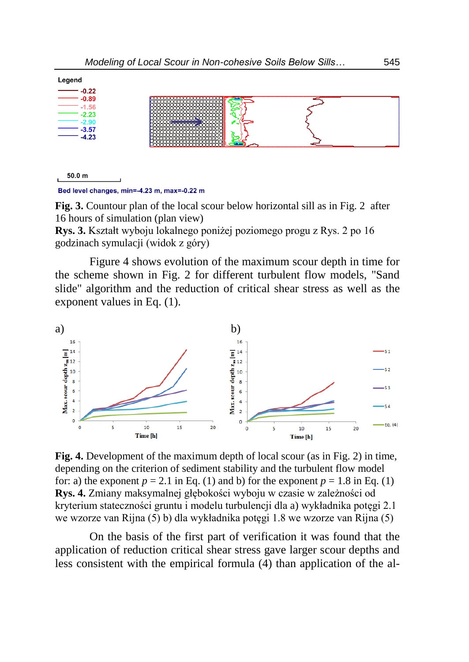

Bed level changes, min=-4.23 m, max=-0.22 m

**Fig. 3.** Countour plan of the local scour below horizontal sill as in Fig. 2 after 16 hours of simulation (plan view)

**Rys. 3.** Kształt wyboju lokalnego poniżej poziomego progu z Rys. 2 po 16 godzinach symulacji (widok z góry)

Figure 4 shows evolution of the maximum scour depth in time for the scheme shown in Fig. 2 for different turbulent flow models, "Sand slide" algorithm and the reduction of critical shear stress as well as the exponent values in Eq. (1).



**Fig. 4.** Development of the maximum depth of local scour (as in Fig. 2) in time, depending on the criterion of sediment stability and the turbulent flow model for: a) the exponent  $p = 2.1$  in Eq. (1) and b) for the exponent  $p = 1.8$  in Eq. (1) **Rys. 4.** Zmiany maksymalnej głębokości wyboju w czasie w zależności od kryterium stateczności gruntu i modelu turbulencji dla a) wykładnika potęgi 2.1 we wzorze van Rijna (5) b) dla wykładnika potęgi 1.8 we wzorze van Rijna (5)

On the basis of the first part of verification it was found that the application of reduction critical shear stress gave larger scour depths and less consistent with the empirical formula (4) than application of the al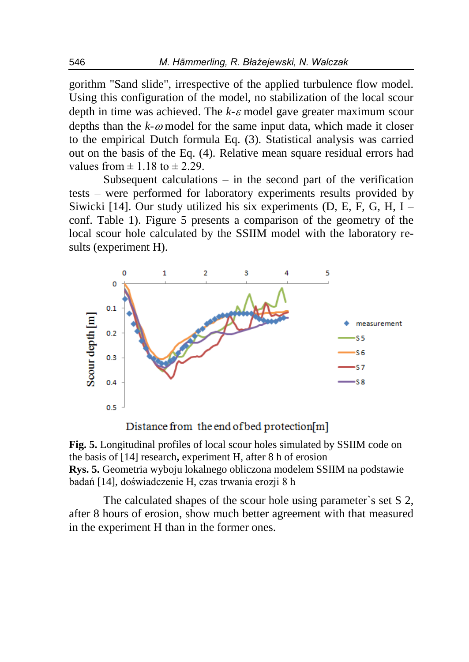gorithm "Sand slide", irrespective of the applied turbulence flow model. Using this configuration of the model, no stabilization of the local scour depth in time was achieved. The  $k$ - $\varepsilon$  model gave greater maximum scour depths than the  $k$ - $\omega$  model for the same input data, which made it closer to the empirical Dutch formula Eq. (3). Statistical analysis was carried out on the basis of the Eq. (4). Relative mean square residual errors had values from  $\pm$  1.18 to  $\pm$  2.29.

Subsequent calculations – in the second part of the verification tests – were performed for laboratory experiments results provided by Siwicki [14]. Our study utilized his six experiments  $(D, E, F, G, H, I$ conf. Table 1). Figure 5 presents a comparison of the geometry of the local scour hole calculated by the SSIIM model with the laboratory results (experiment H).



Distance from the end of bed protection[m]

**Fig. 5.** Longitudinal profiles of local scour holes simulated by SSIIM code on the basis of [14] research**,** experiment H, after 8 h of erosion **Rys. 5.** Geometria wyboju lokalnego obliczona modelem SSIIM na podstawie badań [14], doświadczenie H, czas trwania erozji 8 h

The calculated shapes of the scour hole using parameter`s set S 2, after 8 hours of erosion, show much better agreement with that measured in the experiment H than in the former ones.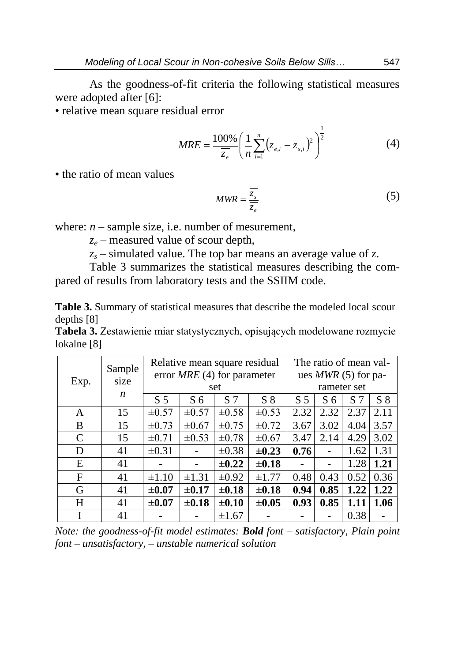As the goodness-of-fit criteria the following statistical measures were adopted after [6]:

• relative mean square residual error

$$
MRE = \frac{100\%}{\overline{z_e}} \left( \frac{1}{n} \sum_{i=1}^n (z_{e,i} - z_{s,i})^2 \right)^{\frac{1}{2}}
$$
(4)

• the ratio of mean values

$$
MWR = \frac{\overline{z_s}}{\overline{z_e}}\tag{5}
$$

where:  $n$  – sample size, i.e. number of mesurement,

*z<sup>e</sup>* – measured value of scour depth,

 $z_s$  – simulated value. The top bar means an average value of *z*.

Table 3 summarizes the statistical measures describing the compared of results from laboratory tests and the SSIIM code.

**Table 3.** Summary of statistical measures that describe the modeled local scour depths [8]

**Tabela 3.** Zestawienie miar statystycznych, opisujących modelowane rozmycie lokalne [8]

|      | Sample<br>size<br>n | Relative mean square residual<br>error $MRE$ (4) for parameter |                |                |            | The ratio of mean val-<br>ues $MWR$ (5) for pa- |                |                |       |
|------|---------------------|----------------------------------------------------------------|----------------|----------------|------------|-------------------------------------------------|----------------|----------------|-------|
| Exp. |                     | set                                                            |                |                |            | rameter set                                     |                |                |       |
|      |                     | S <sub>5</sub>                                                 | S <sub>6</sub> | S <sub>7</sub> | $S_8$      | S <sub>5</sub>                                  | S <sub>6</sub> | S <sub>7</sub> | $S_8$ |
| A    | 15                  | $\pm 0.57$                                                     | $\pm 0.57$     | $\pm 0.58$     | $\pm 0.53$ | 2.32                                            | 2.32           | 2.37           | 2.11  |
| B    | 15                  | $\pm 0.73$                                                     | $\pm 0.67$     | $\pm 0.75$     | $\pm 0.72$ | 3.67                                            | 3.02           | 4.04           | 3.57  |
| C    | 15                  | $\pm 0.71$                                                     | $\pm 0.53$     | $\pm 0.78$     | $\pm 0.67$ | 3.47                                            | 2.14           | 4.29           | 3.02  |
| D    | 41                  | $\pm 0.31$                                                     |                | $\pm 0.38$     | $\pm 0.23$ | 0.76                                            |                | 1.62           | 1.31  |
| E    | 41                  |                                                                |                | $\pm 0.22$     | $\pm 0.18$ |                                                 |                | 1.28           | 1.21  |
| F    | 41                  | $\pm 1.10$                                                     | $\pm 1.31$     | $\pm 0.92$     | $\pm 1.77$ | 0.48                                            | 0.43           | 0.52           | 0.36  |
| G    | 41                  | $\pm 0.07$                                                     | $\pm 0.17$     | $\pm 0.18$     | $\pm 0.18$ | 0.94                                            | 0.85           | 1.22           | 1.22  |
| H    | 41                  | $\pm 0.07$                                                     | $\pm 0.18$     | $\pm 0.10$     | $\pm 0.05$ | 0.93                                            | 0.85           | 1.11           | 1.06  |
|      | 41                  |                                                                |                | $\pm 1.67$     |            |                                                 |                | 0.38           |       |

*Note: the goodness-of-fit model estimates: Bold font – satisfactory, Plain point font – unsatisfactory, – unstable numerical solution*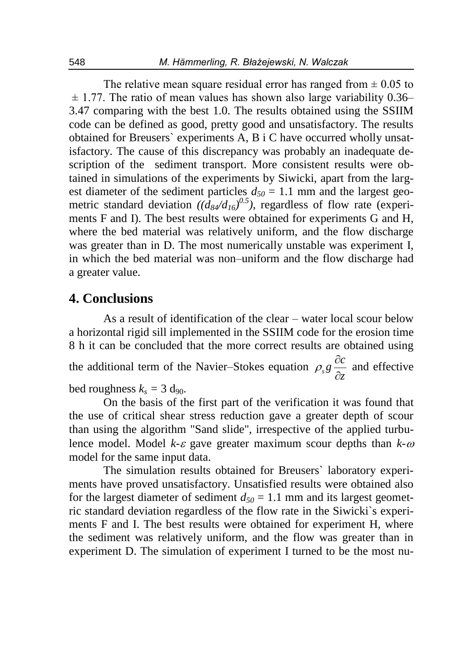The relative mean square residual error has ranged from  $\pm 0.05$  to  $\pm$  1.77. The ratio of mean values has shown also large variability 0.36– 3.47 comparing with the best 1.0. The results obtained using the SSIIM code can be defined as good, pretty good and unsatisfactory. The results obtained for Breusers` experiments A, B i C have occurred wholly unsatisfactory. The cause of this discrepancy was probably an inadequate description of the sediment transport. More consistent results were obtained in simulations of the experiments by Siwicki, apart from the largest diameter of the sediment particles  $d_{50} = 1.1$  mm and the largest geometric standard deviation *((d84/d16) 0.5)*, regardless of flow rate (experiments F and I). The best results were obtained for experiments G and H, where the bed material was relatively uniform, and the flow discharge was greater than in D. The most numerically unstable was experiment I, in which the bed material was non–uniform and the flow discharge had a greater value.

## **4. Conclusions**

As a result of identification of the clear – water local scour below a horizontal rigid sill implemented in the SSIIM code for the erosion time 8 h it can be concluded that the more correct results are obtained using the additional term of the Navier–Stokes equation *z*  $\frac{\partial c}{\partial z}$  $\partial$  $\rho_s g \frac{dE}{dr}$  and effective bed roughness  $k_s = 3$  d<sub>90</sub>.

On the basis of the first part of the verification it was found that the use of critical shear stress reduction gave a greater depth of scour than using the algorithm "Sand slide", irrespective of the applied turbulence model. Model  $k \in \mathcal{E}$  gave greater maximum scour depths than  $k \in \mathcal{E}$ model for the same input data.

The simulation results obtained for Breusers` laboratory experiments have proved unsatisfactory. Unsatisfied results were obtained also for the largest diameter of sediment  $d_{50} = 1.1$  mm and its largest geometric standard deviation regardless of the flow rate in the Siwicki`s experiments F and I. The best results were obtained for experiment H, where the sediment was relatively uniform, and the flow was greater than in experiment D. The simulation of experiment I turned to be the most nu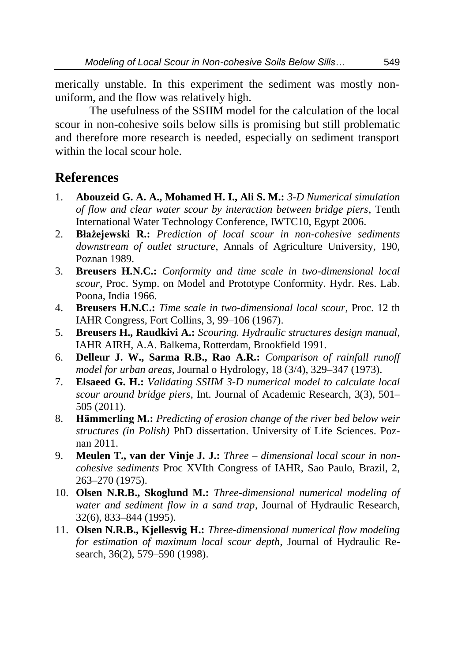merically unstable. In this experiment the sediment was mostly nonuniform, and the flow was relatively high.

The usefulness of the SSIIM model for the calculation of the local scour in non-cohesive soils below sills is promising but still problematic and therefore more research is needed, especially on sediment transport within the local scour hole.

# **References**

- 1. **Abouzeid G. A. A., Mohamed H. I., Ali S. M.:** *3-D Numerical simulation of flow and clear water scour by interaction between bridge piers*, Tenth International Water Technology Conference, IWTC10, Egypt 2006.
- 2. **Błażejewski R.:** *Prediction of local scour in non-cohesive sediments downstream of outlet structure*, Annals of Agriculture University, 190, Poznan 1989.
- 3. **Breusers H.N.C.:** *Conformity and time scale in two-dimensional local scour*, Proc. Symp. on Model and Prototype Conformity. Hydr. Res. Lab. Poona, India 1966.
- 4. **Breusers H.N.C.:** *Time scale in two-dimensional local scour*, Proc. 12 th IAHR Congress, Fort Collins, 3, 99–106 (1967).
- 5. **Breusers H., Raudkivi A.:** *Scouring. Hydraulic structures design manual*, IAHR AIRH, A.A. Balkema, Rotterdam, Brookfield 1991.
- 6. **Delleur J. W., Sarma R.B., Rao A.R.:** *Comparison of rainfall runoff model for urban areas*, Journal o Hydrology, 18 (3/4), 329–347 (1973).
- 7. **Elsaeed G. H.:** *Validating SSIIM 3-D numerical model to calculate local scour around bridge piers*, Int. Journal of Academic Research, 3(3), 501– 505 (2011).
- 8. **Hämmerling M.:** *Predicting of erosion change of the river bed below weir structures (in Polish)* PhD dissertation. University of Life Sciences. Poznan 2011.
- 9. **Meulen T., van der Vinje J. J.:** *Three – dimensional local scour in noncohesive sediments* Proc XVIth Congress of IAHR, Sao Paulo, Brazil, 2, 263–270 (1975).
- 10. **Olsen N.R.B., Skoglund M.:** *Three-dimensional numerical modeling of water and sediment flow in a sand trap*, Journal of Hydraulic Research, 32(6), 833–844 (1995).
- 11. **Olsen N.R.B., Kjellesvig H.:** *Three-dimensional numerical flow modeling for estimation of maximum local scour depth*, Journal of Hydraulic Research, 36(2), 579–590 (1998).